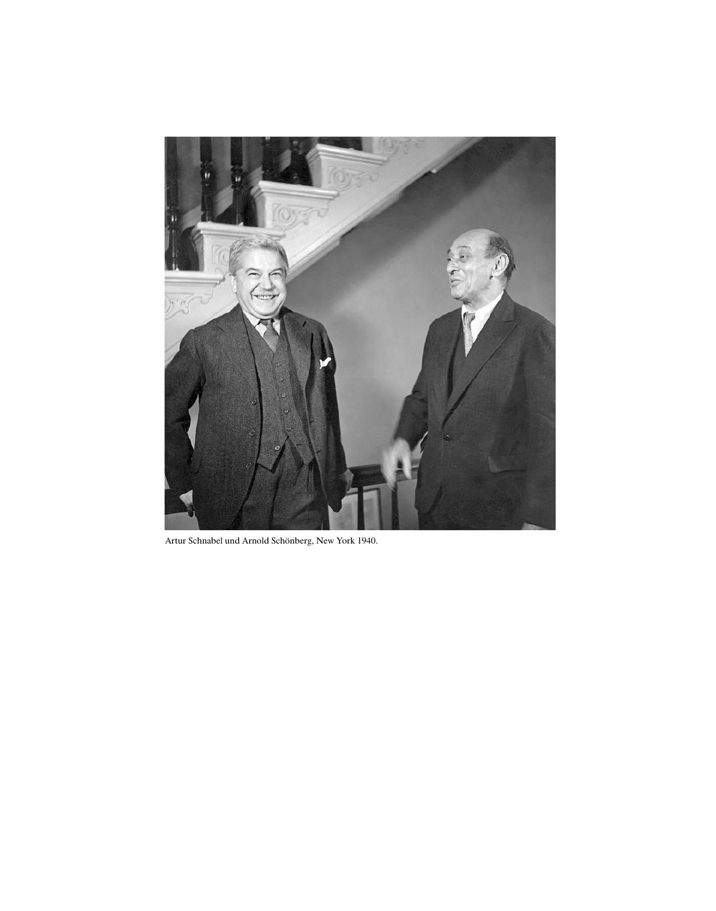

Artur Schnabel und Arnold Schönberg, New York 1940.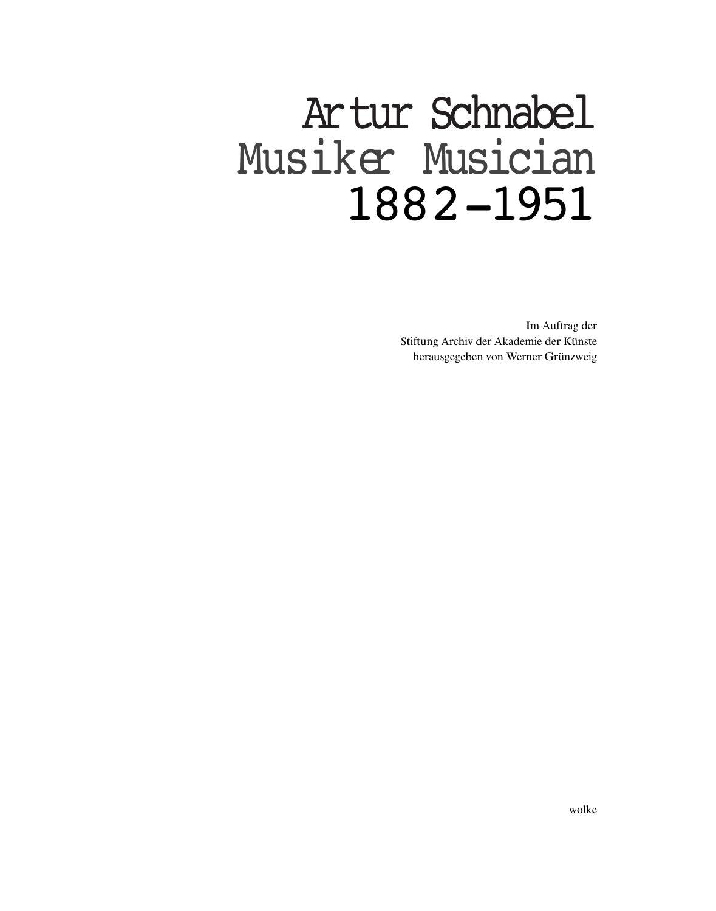# Artur Schnabel Musiker Musician 1882-1951

Im Auftrag der Stiftung Archiv der Akademie der Künste herausgegeben von Werner Grünzweig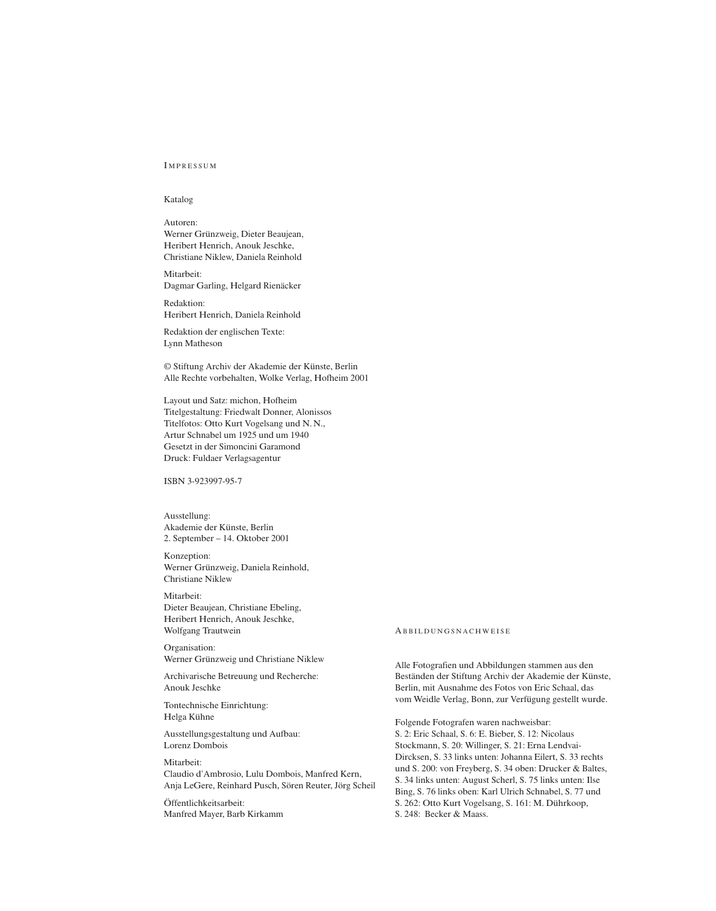### **IMPRESSUM**

#### Katalog

#### Autoren:

Werner Grünzweig, Dieter Beaujean, Heribert Henrich, Anouk Jeschke, Christiane Niklew, Daniela Reinhold

Mitarbeit: Dagmar Garling, Helgard Rienäcker

Redaktion: Heribert Henrich, Daniela Reinhold

Redaktion der englischen Texte: Lynn Matheson

© Stiftung Archiv der Akademie der Künste, Berlin Alle Rechte vorbehalten, Wolke Verlag, Hofheim 2001

Layout und Satz: michon, Hofheim Titelgestaltung: Friedwalt Donner, Alonissos Titelfotos: Ott<sup>o</sup> Kurt Vogelsang und N.N., Artur Schnabel um 1925 und um 1940 Gesetzt in der Simoncini Garamond Druck: Fuldaer Verlagsagentur

ISBN 3-923997-95-7

Ausstellung: Akademie der Künste, Berlin 2. September – 14. Oktober 2001

Konzeption: Werner Grünzweig, Daniela Reinhold, Christiane Niklew

Mitarbeit: Dieter Beaujean, Christiane Ebeling, Heribert Henrich, Anouk Jeschke, Wolfgang Trautwein

Organisation: Werner Grünzweig und Christiane Niklew

Archivarische Betreuung und Recherche: Anouk Jeschke

Tontechnische Einrichtung: Helga Kühne

Ausstellungsgestaltung und Aufbau: Lorenz Dombois

## Mitarbeit:

Claudi<sup>o</sup> d'Ambrosio, Lulu Dombois, Manfred Kern, Anja LeGere, Reinhard Pusch, Sören Reuter, Jörg Scheil

Öffentlichkeitsarbeit: Manfred Mayer, Barb Kirkamm

#### A B B I L D U N G S N A C H W E I S E

Alle Fotografien und Abbildungen stammen aus den Beständen der Stiftung Archiv der Akademie der Künste, Berlin, mit Ausnahme des Fotos von Eric Schaal, das vom Weidle Verlag, Bonn, zur Verfügung gestellt wurde.

Folgende Fotografen waren nachweisbar: S. 2: Eric Schaal, S. 6: E. Bieber, S. 12: Nicolaus Stockmann, S. 20: Willinger, S. 21: Erna Lendvai-Dircksen, S. 33 links unten: Johanna Eilert, S. 33 rechts und S. 200: von Freyberg, S. 34 oben: Drucker & Baltes, S. 34 links unten: August Scherl, S. 75 links unten: Ilse Bing, S. 76 links oben: Karl <sup>U</sup>lrich Schnabel, S. 77 und S. 262: Ott<sup>o</sup> Kurt Vogelsang, S. 161: M. Dührkoop, S. 248: Becker & Maass.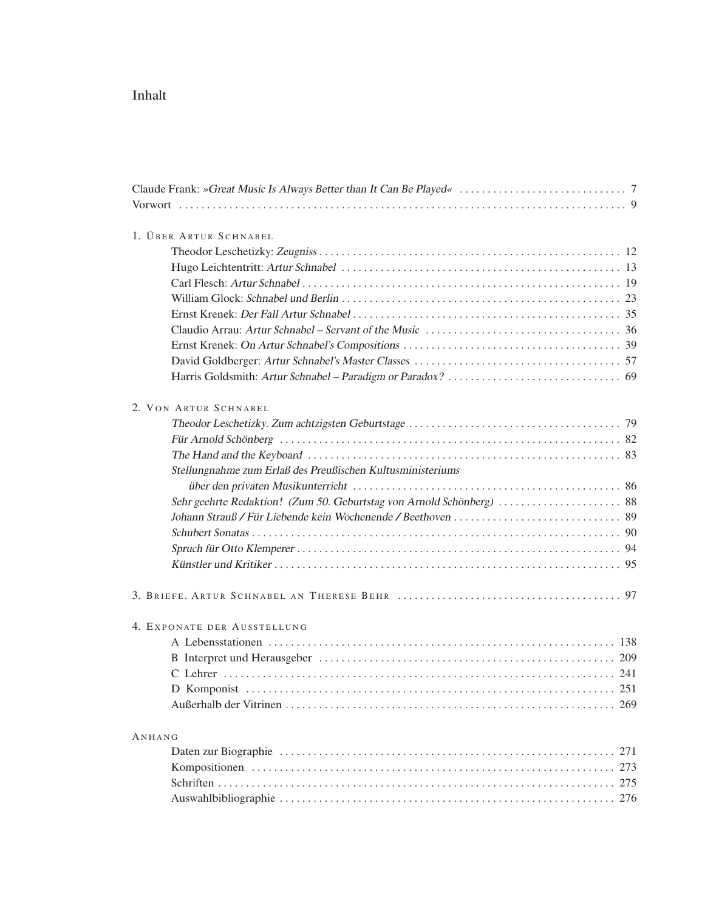# Inhalt

| 1. ÜBER ARTUR SCHNABEL                                     |
|------------------------------------------------------------|
|                                                            |
|                                                            |
|                                                            |
|                                                            |
|                                                            |
|                                                            |
|                                                            |
|                                                            |
|                                                            |
| 2. VON ARTUR SCHNABEL                                      |
|                                                            |
|                                                            |
|                                                            |
| Stellungnahme zum Erlaß des Preußischen Kultusministeriums |
|                                                            |
|                                                            |
|                                                            |
|                                                            |
|                                                            |
|                                                            |
| 4. EXPONATE DER AUSSTELLUNG                                |
|                                                            |
|                                                            |
|                                                            |
|                                                            |
| 269                                                        |
| ANHANG                                                     |
|                                                            |
|                                                            |
| 275                                                        |
|                                                            |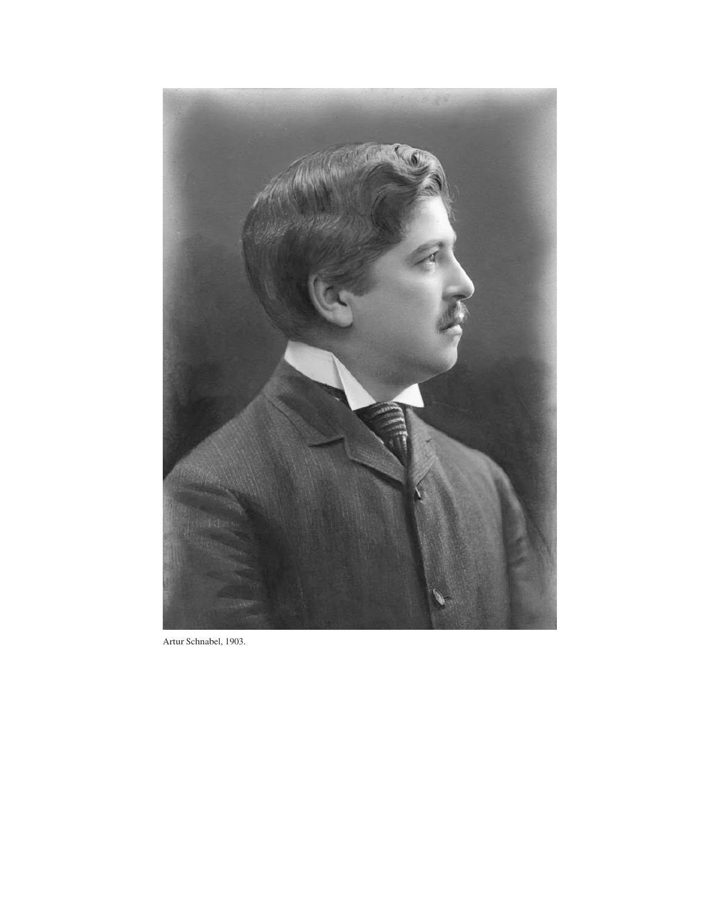

Artur Schnabel, 1903.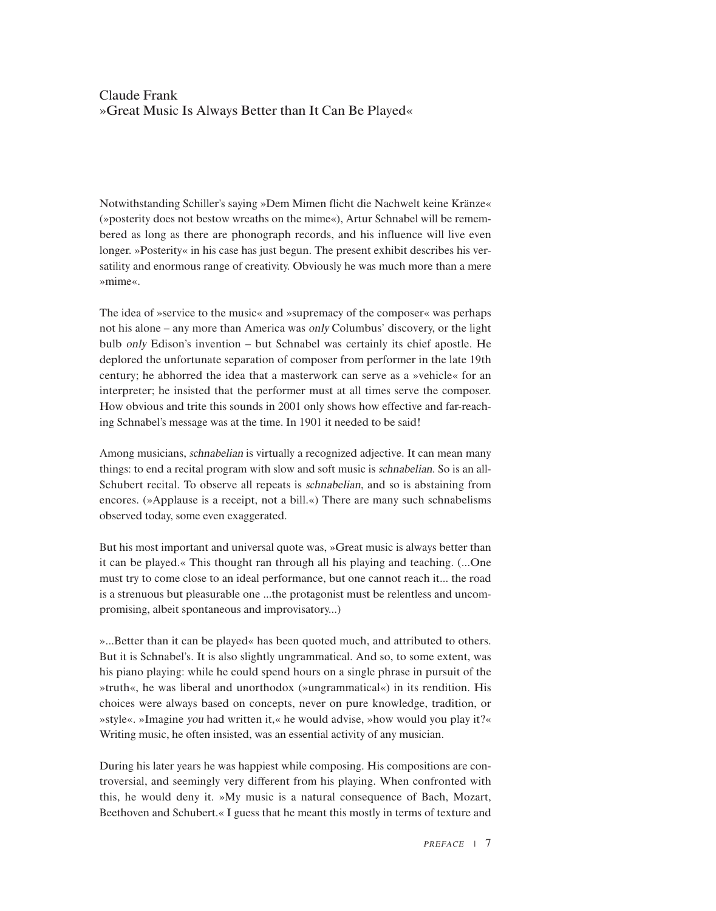## Claude Frank »Great Music Is Always Better than It Can Be Played«

Notwithstanding Schiller's saying »Dem Mimen flicht die Nachwelt keine Kränze« (»posterity does not bestow wreaths <sup>o</sup>n the mime«), Artur Schnabel will be remembered as long as there are phonograph records, and his influence will live even longer. »Posterity« in his case has just begun. The present exhibit describes his versatility and enormous range <sup>o</sup>f creativity. Obviously he was much more than a mere »mime«.

The idea <sup>o</sup>f »service t<sup>o</sup> the music« and »supremacy <sup>o</sup>f the composer« was perhaps not his alone – any more than America was <sup>o</sup>nly Columbus' <sup>d</sup>iscovery, <sup>o</sup>r the light <sup>b</sup>ul<sup>b</sup> <sup>o</sup>nly Edison's invention – <sup>b</sup>ut Schnabel was certainly its chief apostle. He deplored the unfortunate separation <sup>o</sup>f composer from performer in the late 19th century; he abhorred the idea that a masterwork can serve as a »vehicle« for an interpreter; he insisted that the performer must at all times serve the composer. How obvious and trite this sounds in 2001 <sup>o</sup>nly shows how effective and far-reaching Schnabel's message was at the time. In 1901 it needed t<sup>o</sup> be said!

Among musicians, <sup>s</sup>chnabelia<sup>n</sup> is virtually a recognized adjective. It can mean many things: t<sup>o</sup> end a recital program with slow and soft music is <sup>s</sup>chnabelian. S<sup>o</sup> is an all-Schubert recital. T<sup>o</sup> observe all repeats is <sup>s</sup>chnabelian, and s<sup>o</sup> is abstaining from encores. (»Applause is a receipt, not a bill.«) There are many such schnabelisms observed today, some even exaggerated.

But his most important and universal quote was, »Great music is always better than it can be played.« This thought ran through all his playing and teaching. (...One must try t<sup>o</sup> come close t<sup>o</sup> an ideal performance, but <sup>o</sup>ne cannot reach it... the road is a strenuous but pleasurable <sup>o</sup>ne ...the protagonist must be relentless and uncompromising, albeit spontaneous and improvisatory...)

»...Better than it can be played« has been quoted much, and attributed t<sup>o</sup> <sup>o</sup>thers. But it is Schnabel's. It is als<sup>o</sup> slightly ungrammatical. And so, t<sup>o</sup> some extent, was his pian<sup>o</sup> playing: while he could spend hours <sup>o</sup>n a single phrase in pursuit <sup>o</sup>f the »truth«, he was liberal and unorthodox (»ungrammatical«) in its rendition. His choices were always based <sup>o</sup>n concepts, never <sup>o</sup>n pure knowledge, tradition, <sup>o</sup>r »style«. »Imagine <sup>y</sup>o<sup>u</sup> ha<sup>d</sup> written it,« he woul<sup>d</sup> advise, »how woul<sup>d</sup> you <sup>p</sup>lay it?« Writing music, he <sup>o</sup>ften insisted, was an essential activity <sup>o</sup>f any musician.

During his later years he was happiest while composing. His compositions are controversial, and seemingly very different from his playing. When confronted with this, he would deny it. »My music is a natural consequence <sup>o</sup>f Bach, Mozart, Beethoven and Schubert.« I guess that he meant this mostly in terms <sup>o</sup>f texture and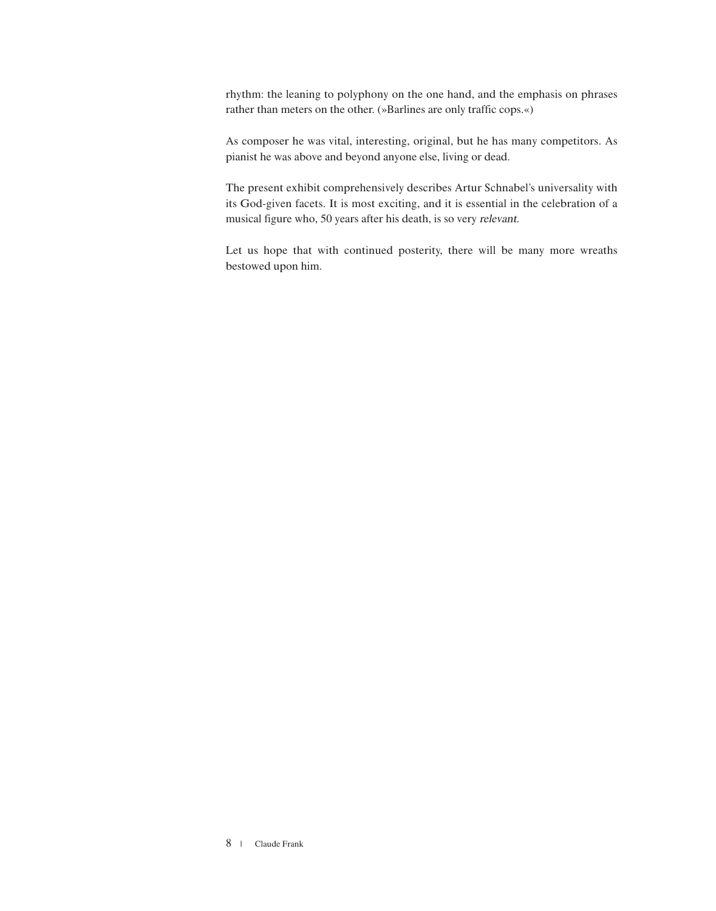rhythm: the leaning t<sup>o</sup> polyphony <sup>o</sup>n the <sup>o</sup>ne hand, and the emphasis <sup>o</sup>n phrases rather than meters <sup>o</sup>n the <sup>o</sup>ther. (»Barlines are <sup>o</sup>nly traffic cops.«)

As composer he was vital, interesting, <sup>o</sup>riginal, but he has many competitors. As pianist he was above and beyond anyone else, living <sup>o</sup>r dead.

The present exhibit comprehensively describes Artur Schnabel's universality with its God-given facets. It is most exciting, and it is essential in the celebration <sup>o</sup>f a musical figure who, 50 years after his death, is s<sup>o</sup> very <sup>r</sup>el<sup>e</sup>vant.

Let us hope that with continued posterity, there will be many more wreaths bestowed upon him.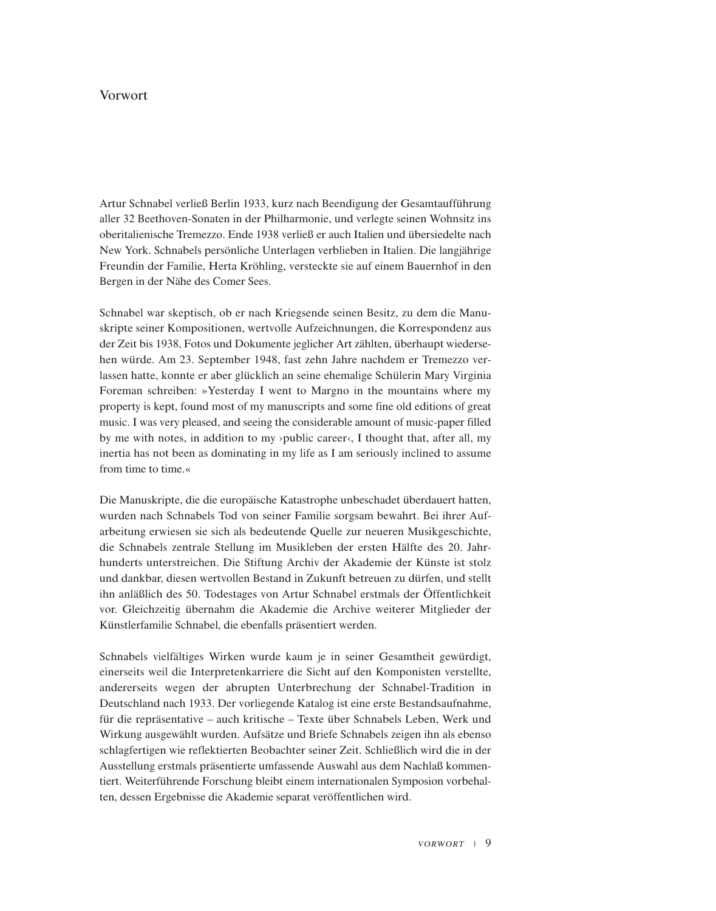## Vorwort

Artur Schnabel verließ Berlin 1933, kurz nach Beendigung der Gesamtaufführung aller 32 Beethoven-Sonaten in der Philharmonie, und verlegte seinen Wohnsitz ins oberitalienische Tremezzo. Ende 1938 verließ er auch Italien und übersiedelte nach New York. Schnabels persönliche <sup>U</sup>nterlagen verblieben in Italien. Die langjährige Freundin der Familie, Herta Kröhling, versteckte sie auf einem Bauernhof in den Bergen in der Nähe des Comer Sees.

Schnabel war skeptisch, ob er nach Kriegsende seinen Besitz, zu dem die Manuskripte seiner Kompositionen, wertvolle Aufzeichnungen, die Korrespondenz aus der Zeit bis 1938, Fotos und Dokumente jeglicher Art zählten, überhaupt wiedersehen würde. Am 23. September 1948, fast zehn Jahre nachdem er Tremezz<sup>o</sup> verlassen hatte, konnte er aber glücklich an seine ehemalige Schülerin Mary Virginia Foreman schreiben: »Yesterday I went t<sup>o</sup> Margn<sup>o</sup> in the mountains where my property is kept, found most <sup>o</sup>f my manuscripts and some fine <sup>o</sup>ld editions <sup>o</sup>f great music. I was very pleased, and seeing the considerable amount <sup>o</sup>f music-paper filled by me with notes, in addition to my >public career $\langle$ , I thought that, after all, my inertia has not been as dominating in my life as I am seriously inclined t<sup>o</sup> assume from time t<sup>o</sup> time.«

Die Manuskripte, die die europäische Katastrophe unbeschadet überdauert hatten, wurden nach Schnabels Tod von seiner Familie sorgsam bewahrt. Bei ihrer Aufarbeitung erwiesen sie sich als bedeutende Quelle zur neueren Musikgeschichte, die Schnabels zentrale Stellung im Musikleben der ersten Hälfte des 20. Jahrhunderts unterstreichen. Die Stiftung Archiv der Akademie der Künste ist stolz und dankbar, diesen wertvollen Bestand in Zukunft betreuen zu dürfen, und stellt ihn anläßlich des 50. Todestages von Artur Schnabel erstmals der Öffentlichkeit vor. Gleichzeitig übernahm die Akademie die Archive weiterer Mitglieder der Künstlerfamilie Schnabel, die ebenfalls präsentiert werden.

Schnabels vielfältiges Wirken wurde kaum je in seiner Gesamtheit gewürdigt, einerseits weil die Interpretenkarriere die Sicht auf den Komponisten verstellte, andererseits wegen der abrupten <sup>U</sup>nterbrechung der Schnabel-Tradition in Deutschland nach 1933. Der vorliegende Katalog ist eine erste Bestandsaufnahme, für die repräsentative – auch kritische – Texte über Schnabels Leben, Werk und Wirkung ausgewählt wurden. Aufsätze und Briefe Schnabels zeigen ihn als ebens<sup>o</sup> schlagfertigen wie reflektierten Beobachter seiner Zeit. Schließlich wird die in der Ausstellung erstmals präsentierte umfassende Auswahl aus dem Nachlaß kommentiert. Weiterführende Forschung bleibt einem internationalen Symposion vorbehalten, dessen Ergebnisse die Akademie separat veröffentlichen wird.